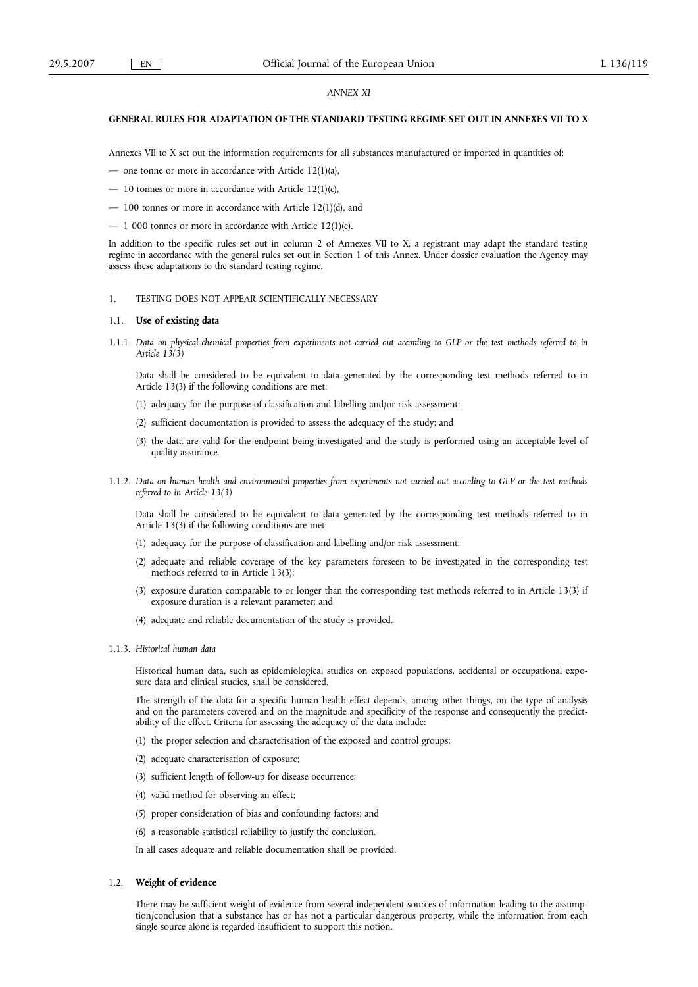## *ANNEX XI*

# **GENERAL RULES FOR ADAPTATION OF THE STANDARD TESTING REGIME SET OUT IN ANNEXES VII TO X**

Annexes VII to X set out the information requirements for all substances manufactured or imported in quantities of:

— one tonne or more in accordance with Article 12(1)(a),

- 10 tonnes or more in accordance with Article 12(1)(c),
- 100 tonnes or more in accordance with Article 12(1)(d), and
- 1 000 tonnes or more in accordance with Article 12(1)(e).

In addition to the specific rules set out in column 2 of Annexes VII to X, a registrant may adapt the standard testing regime in accordance with the general rules set out in Section 1 of this Annex. Under dossier evaluation the Agency may assess these adaptations to the standard testing regime.

### 1. TESTING DOES NOT APPEAR SCIENTIFICALLY NECESSARY

#### 1.1. **Use of existing data**

1.1.1. *Data on physical-chemical properties from experiments not carried out according to GLP or the test methods referred to in Article 13(3)*

Data shall be considered to be equivalent to data generated by the corresponding test methods referred to in Article 13(3) if the following conditions are met:

- (1) adequacy for the purpose of classification and labelling and/or risk assessment;
- (2) sufficient documentation is provided to assess the adequacy of the study; and
- (3) the data are valid for the endpoint being investigated and the study is performed using an acceptable level of quality assurance.
- 1.1.2. *Data on human health and environmental properties from experiments not carried out according to GLP or the test methods referred to in Article 13(3)*

Data shall be considered to be equivalent to data generated by the corresponding test methods referred to in Article 13(3) if the following conditions are met:

- (1) adequacy for the purpose of classification and labelling and/or risk assessment;
- (2) adequate and reliable coverage of the key parameters foreseen to be investigated in the corresponding test methods referred to in Article 13(3);
- (3) exposure duration comparable to or longer than the corresponding test methods referred to in Article 13(3) if exposure duration is a relevant parameter; and
- (4) adequate and reliable documentation of the study is provided.
- 1.1.3. *Historical human data*

Historical human data, such as epidemiological studies on exposed populations, accidental or occupational exposure data and clinical studies, shall be considered.

The strength of the data for a specific human health effect depends, among other things, on the type of analysis and on the parameters covered and on the magnitude and specificity of the response and consequently the predictability of the effect. Criteria for assessing the adequacy of the data include:

- (1) the proper selection and characterisation of the exposed and control groups;
- (2) adequate characterisation of exposure;
- (3) sufficient length of follow-up for disease occurrence;
- (4) valid method for observing an effect;
- (5) proper consideration of bias and confounding factors; and
- (6) a reasonable statistical reliability to justify the conclusion.

In all cases adequate and reliable documentation shall be provided.

## 1.2. **Weight of evidence**

There may be sufficient weight of evidence from several independent sources of information leading to the assumption/conclusion that a substance has or has not a particular dangerous property, while the information from each single source alone is regarded insufficient to support this notion.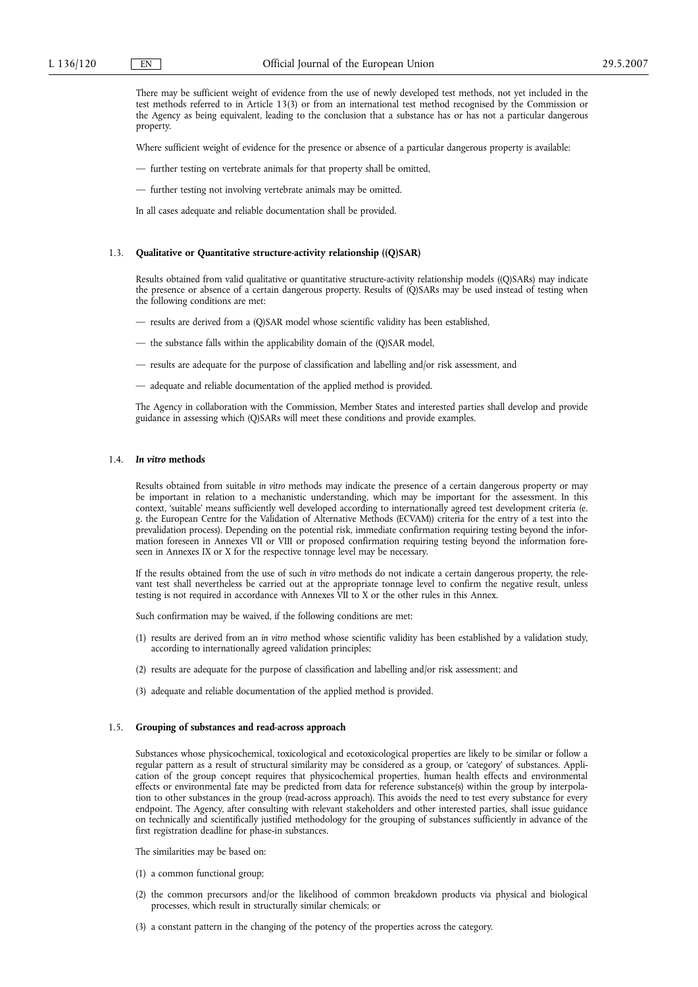There may be sufficient weight of evidence from the use of newly developed test methods, not yet included in the test methods referred to in Article 13(3) or from an international test method recognised by the Commission or the Agency as being equivalent, leading to the conclusion that a substance has or has not a particular dangerous property.

Where sufficient weight of evidence for the presence or absence of a particular dangerous property is available:

— further testing on vertebrate animals for that property shall be omitted,

— further testing not involving vertebrate animals may be omitted.

In all cases adequate and reliable documentation shall be provided.

## 1.3. **Qualitative or Quantitative structure-activity relationship ((Q)SAR)**

Results obtained from valid qualitative or quantitative structure-activity relationship models ((Q)SARs) may indicate the presence or absence of a certain dangerous property. Results of (Q)SARs may be used instead of testing when the following conditions are met:

- results are derived from a (Q)SAR model whose scientific validity has been established,
- the substance falls within the applicability domain of the (Q)SAR model,
- results are adequate for the purpose of classification and labelling and/or risk assessment, and
- adequate and reliable documentation of the applied method is provided.

The Agency in collaboration with the Commission, Member States and interested parties shall develop and provide guidance in assessing which (Q)SARs will meet these conditions and provide examples.

## 1.4. *In vitro* **methods**

Results obtained from suitable *in vitro* methods may indicate the presence of a certain dangerous property or may be important in relation to a mechanistic understanding, which may be important for the assessment. In this context, 'suitable' means sufficiently well developed according to internationally agreed test development criteria (e. g. the European Centre for the Validation of Alternative Methods (ECVAM)) criteria for the entry of a test into the prevalidation process). Depending on the potential risk, immediate confirmation requiring testing beyond the information foreseen in Annexes VII or VIII or proposed confirmation requiring testing beyond the information foreseen in Annexes IX or X for the respective tonnage level may be necessary.

If the results obtained from the use of such *in vitro* methods do not indicate a certain dangerous property, the relevant test shall nevertheless be carried out at the appropriate tonnage level to confirm the negative result, unless testing is not required in accordance with Annexes VII to X or the other rules in this Annex.

Such confirmation may be waived, if the following conditions are met:

- (1) results are derived from an *in vitro* method whose scientific validity has been established by a validation study, according to internationally agreed validation principles;
- (2) results are adequate for the purpose of classification and labelling and/or risk assessment; and
- (3) adequate and reliable documentation of the applied method is provided.

## 1.5. **Grouping of substances and read-across approach**

Substances whose physicochemical, toxicological and ecotoxicological properties are likely to be similar or follow a regular pattern as a result of structural similarity may be considered as a group, or 'category' of substances. Application of the group concept requires that physicochemical properties, human health effects and environmental effects or environmental fate may be predicted from data for reference substance(s) within the group by interpolation to other substances in the group (read-across approach). This avoids the need to test every substance for every endpoint. The Agency, after consulting with relevant stakeholders and other interested parties, shall issue guidance on technically and scientifically justified methodology for the grouping of substances sufficiently in advance of the first registration deadline for phase-in substances.

The similarities may be based on:

- (1) a common functional group;
- (2) the common precursors and/or the likelihood of common breakdown products via physical and biological processes, which result in structurally similar chemicals; or
- (3) a constant pattern in the changing of the potency of the properties across the category.